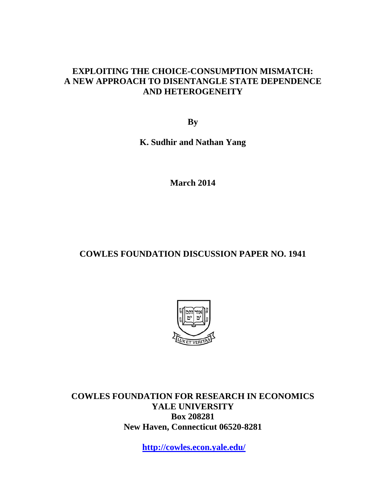#### **EXPLOITING THE CHOICE-CONSUMPTION MISMATCH: A NEW APPROACH TO DISENTANGLE STATE DEPENDENCE AND HETEROGENEITY**

**By** 

**K. Sudhir and Nathan Yang** 

**March 2014** 

### **COWLES FOUNDATION DISCUSSION PAPER NO. 1941**



**COWLES FOUNDATION FOR RESEARCH IN ECONOMICS YALE UNIVERSITY Box 208281 New Haven, Connecticut 06520-8281** 

**http://cowles.econ.yale.edu/**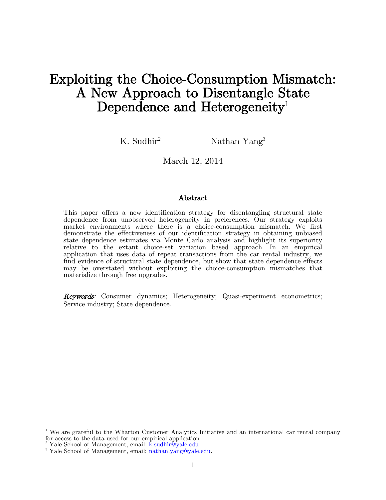# Exploiting the Choice-Consumption Mismatch: A New Approach to Disentangle State Dependence and Heterogeneity<sup>1</sup>

K. Sudhir<sup>2</sup> Nathan Yang<sup>3</sup>

March 12, 2014

#### Abstract

This paper offers a new identification strategy for disentangling structural state dependence from unobserved heterogeneity in preferences. Our strategy exploits market environments where there is a choice-consumption mismatch. We first demonstrate the effectiveness of our identification strategy in obtaining unbiased state dependence estimates via Monte Carlo analysis and highlight its superiority relative to the extant choice-set variation based approach. In an empirical application that uses data of repeat transactions from the car rental industry, we find evidence of structural state dependence, but show that state dependence effects may be overstated without exploiting the choice-consumption mismatches that materialize through free upgrades.

Keywords: Consumer dynamics; Heterogeneity; Quasi-experiment econometrics; Service industry; State dependence.

<sup>2</sup> Yale School of Management, email: ksudhir@yale.edu.

 $\overline{\phantom{a}}$ 

<sup>&</sup>lt;sup>1</sup> We are grateful to the Wharton Customer Analytics Initiative and an international car rental company for access to the data used for our empirical application.

<sup>&</sup>lt;sup>3</sup> Yale School of Management, email: [nathan.yang@yale.edu.](mailto:nathan.yang@yale.edu)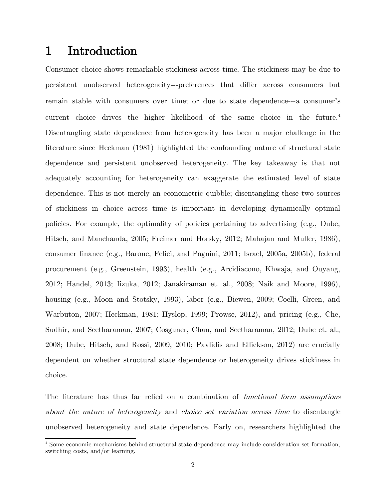## 1 Introduction

Consumer choice shows remarkable stickiness across time. The stickiness may be due to persistent unobserved heterogeneity---preferences that differ across consumers but remain stable with consumers over time; or due to state dependence---a consumer's current choice drives the higher likelihood of the same choice in the future.<sup>4</sup> Disentangling state dependence from heterogeneity has been a major challenge in the literature since Heckman (1981) highlighted the confounding nature of structural state dependence and persistent unobserved heterogeneity. The key takeaway is that not adequately accounting for heterogeneity can exaggerate the estimated level of state dependence. This is not merely an econometric quibble; disentangling these two sources of stickiness in choice across time is important in developing dynamically optimal policies. For example, the optimality of policies pertaining to advertising (e.g., Dube, Hitsch, and Manchanda, 2005; Freimer and Horsky, 2012; Mahajan and Muller, 1986), consumer finance (e.g., Barone, Felici, and Pagnini, 2011; Israel, 2005a, 2005b), federal procurement (e.g., Greenstein, 1993), health (e.g., Arcidiacono, Khwaja, and Ouyang, 2012; Handel, 2013; Iizuka, 2012; Janakiraman et. al., 2008; Naik and Moore, 1996), housing (e.g., Moon and Stotsky, 1993), labor (e.g., Biewen, 2009; Coelli, Green, and Warbuton, 2007; Heckman, 1981; Hyslop, 1999; Prowse, 2012), and pricing (e.g., Che, Sudhir, and Seetharaman, 2007; Cosguner, Chan, and Seetharaman, 2012; Dube et. al., 2008; Dube, Hitsch, and Rossi, 2009, 2010; Pavlidis and Ellickson, 2012) are crucially dependent on whether structural state dependence or heterogeneity drives stickiness in choice.

The literature has thus far relied on a combination of functional form assumptions about the nature of heterogeneity and choice set variation across time to disentangle unobserved heterogeneity and state dependence. Early on, researchers highlighted the

 $\overline{\phantom{a}}$ <sup>4</sup> Some economic mechanisms behind structural state dependence may include consideration set formation, switching costs, and/or learning.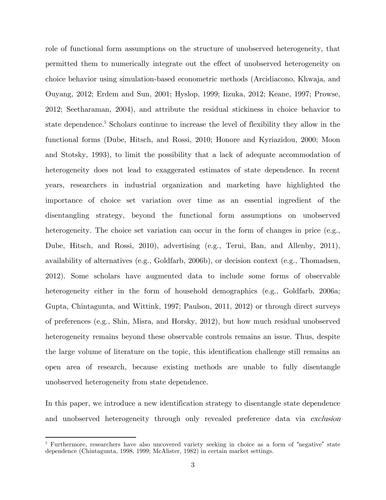role of functional form assumptions on the structure of unobserved heterogeneity, that permitted them to numerically integrate out the effect of unobserved heterogeneity on choice behavior using simulation-based econometric methods (Arcidiacono, Khwaja, and Ouyang, 2012; Erdem and Sun, 2001; Hyslop, 1999; Iizuka, 2012; Keane, 1997; Prowse, 2012; Seetharaman, 2004), and attribute the residual stickiness in choice behavior to state dependence.<sup>5</sup> Scholars continue to increase the level of flexibility they allow in the functional forms (Dube, Hitsch, and Rossi, 2010; Honore and Kyriazidou, 2000; Moon and Stotsky, 1993), to limit the possibility that a lack of adequate accommodation of heterogeneity does not lead to exaggerated estimates of state dependence. In recent years, researchers in industrial organization and marketing have highlighted the importance of choice set variation over time as an essential ingredient of the disentangling strategy, beyond the functional form assumptions on unobserved heterogeneity. The choice set variation can occur in the form of changes in price (e.g., Dube, Hitsch, and Rossi, 2010), advertising (e.g., Terui, Ban, and Allenby, 2011), availability of alternatives (e.g., Goldfarb, 2006b), or decision context (e.g., Thomadsen, 2012). Some scholars have augmented data to include some forms of observable heterogeneity either in the form of household demographics (e.g., Goldfarb, 2006a; Gupta, Chintagunta, and Wittink, 1997; Paulson, 2011, 2012) or through direct surveys of preferences (e.g., Shin, Misra, and Horsky, 2012), but how much residual unobserved heterogeneity remains beyond these observable controls remains an issue. Thus, despite the large volume of literature on the topic, this identification challenge still remains an open area of research, because existing methods are unable to fully disentangle unobserved heterogeneity from state dependence.

In this paper, we introduce a new identification strategy to disentangle state dependence and unobserved heterogeneity through only revealed preference data via exclusion

 $\overline{a}$ 

<sup>&</sup>lt;sup>5</sup> Furthermore, researchers have also uncovered variety seeking in choice as a form of "negative" state dependence (Chintagunta, 1998, 1999; McAlister, 1982) in certain market settings.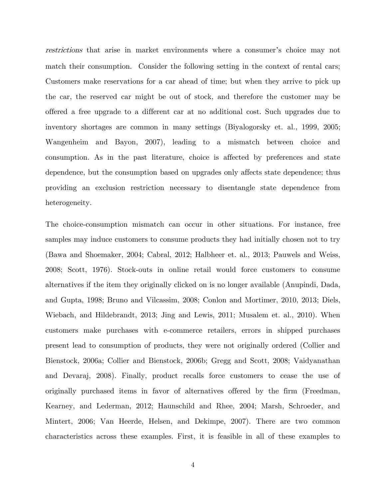restrictions that arise in market environments where a consumer's choice may not match their consumption. Consider the following setting in the context of rental cars; Customers make reservations for a car ahead of time; but when they arrive to pick up the car, the reserved car might be out of stock, and therefore the customer may be offered a free upgrade to a different car at no additional cost. Such upgrades due to inventory shortages are common in many settings (Biyalogorsky et. al., 1999, 2005; Wangenheim and Bayon, 2007), leading to a mismatch between choice and consumption. As in the past literature, choice is affected by preferences and state dependence, but the consumption based on upgrades only affects state dependence; thus providing an exclusion restriction necessary to disentangle state dependence from heterogeneity.

The choice-consumption mismatch can occur in other situations. For instance, free samples may induce customers to consume products they had initially chosen not to try (Bawa and Shoemaker, 2004; Cabral, 2012; Halbheer et. al., 2013; Pauwels and Weiss, 2008; Scott, 1976). Stock-outs in online retail would force customers to consume alternatives if the item they originally clicked on is no longer available (Anupindi, Dada, and Gupta, 1998; Bruno and Vilcassim, 2008; Conlon and Mortimer, 2010, 2013; Diels, Wiebach, and Hildebrandt, 2013; Jing and Lewis, 2011; Musalem et. al., 2010). When customers make purchases with e-commerce retailers, errors in shipped purchases present lead to consumption of products, they were not originally ordered (Collier and Bienstock, 2006a; Collier and Bienstock, 2006b; Gregg and Scott, 2008; Vaidyanathan and Devaraj, 2008). Finally, product recalls force customers to cease the use of originally purchased items in favor of alternatives offered by the firm (Freedman, Kearney, and Lederman, 2012; Haunschild and Rhee, 2004; Marsh, Schroeder, and Mintert, 2006; Van Heerde, Helsen, and Dekimpe, 2007). There are two common characteristics across these examples. First, it is feasible in all of these examples to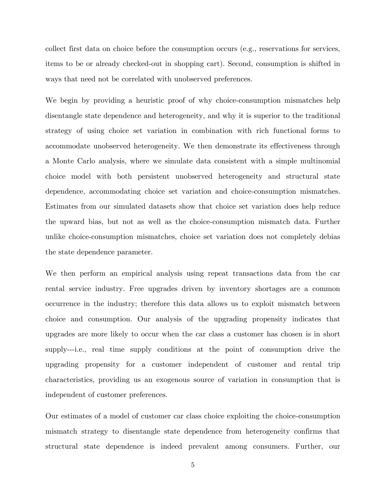collect first data on choice before the consumption occurs (e.g., reservations for services, items to be or already checked-out in shopping cart). Second, consumption is shifted in ways that need not be correlated with unobserved preferences.

We begin by providing a heuristic proof of why choice-consumption mismatches help disentangle state dependence and heterogeneity, and why it is superior to the traditional strategy of using choice set variation in combination with rich functional forms to accommodate unobserved heterogeneity. We then demonstrate its effectiveness through a Monte Carlo analysis, where we simulate data consistent with a simple multinomial choice model with both persistent unobserved heterogeneity and structural state dependence, accommodating choice set variation and choice-consumption mismatches. Estimates from our simulated datasets show that choice set variation does help reduce the upward bias, but not as well as the choice-consumption mismatch data. Further unlike choice-consumption mismatches, choice set variation does not completely debias the state dependence parameter.

We then perform an empirical analysis using repeat transactions data from the car rental service industry. Free upgrades driven by inventory shortages are a common occurrence in the industry; therefore this data allows us to exploit mismatch between choice and consumption. Our analysis of the upgrading propensity indicates that upgrades are more likely to occur when the car class a customer has chosen is in short supply---i.e., real time supply conditions at the point of consumption drive the upgrading propensity for a customer independent of customer and rental trip characteristics, providing us an exogenous source of variation in consumption that is independent of customer preferences.

Our estimates of a model of customer car class choice exploiting the choice-consumption mismatch strategy to disentangle state dependence from heterogeneity confirms that structural state dependence is indeed prevalent among consumers. Further, our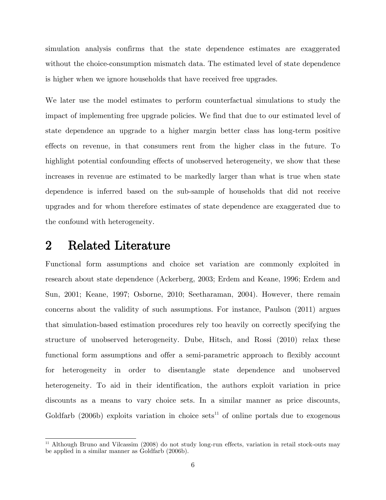simulation analysis confirms that the state dependence estimates are exaggerated without the choice-consumption mismatch data. The estimated level of state dependence is higher when we ignore households that have received free upgrades.

We later use the model estimates to perform counterfactual simulations to study the impact of implementing free upgrade policies. We find that due to our estimated level of state dependence an upgrade to a higher margin better class has long-term positive effects on revenue, in that consumers rent from the higher class in the future. To highlight potential confounding effects of unobserved heterogeneity, we show that these increases in revenue are estimated to be markedly larger than what is true when state dependence is inferred based on the sub-sample of households that did not receive upgrades and for whom therefore estimates of state dependence are exaggerated due to the confound with heterogeneity.

### 2 Related Literature

Functional form assumptions and choice set variation are commonly exploited in research about state dependence (Ackerberg, 2003; Erdem and Keane, 1996; Erdem and Sun, 2001; Keane, 1997; Osborne, 2010; Seetharaman, 2004). However, there remain concerns about the validity of such assumptions. For instance, Paulson (2011) argues that simulation-based estimation procedures rely too heavily on correctly specifying the structure of unobserved heterogeneity. Dube, Hitsch, and Rossi (2010) relax these functional form assumptions and offer a semi-parametric approach to flexibly account for heterogeneity in order to disentangle state dependence and unobserved heterogeneity. To aid in their identification, the authors exploit variation in price discounts as a means to vary choice sets. In a similar manner as price discounts, Goldfarb (2006b) exploits variation in choice sets<sup>11</sup> of online portals due to exogenous

 $\overline{\phantom{a}}$ <sup>11</sup> Although Bruno and Vilcassim (2008) do not study long-run effects, variation in retail stock-outs may be applied in a similar manner as Goldfarb (2006b).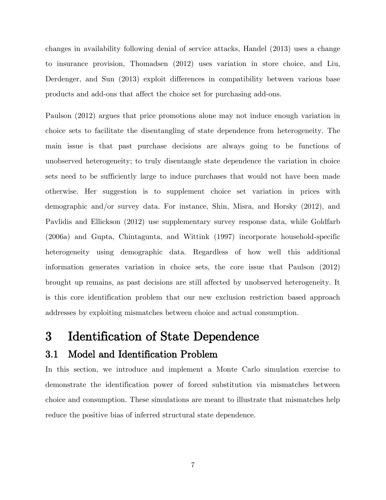changes in availability following denial of service attacks, Handel (2013) uses a change to insurance provision, Thomadsen (2012) uses variation in store choice, and Liu, Derdenger, and Sun (2013) exploit differences in compatibility between various base products and add-ons that affect the choice set for purchasing add-ons.

Paulson (2012) argues that price promotions alone may not induce enough variation in choice sets to facilitate the disentangling of state dependence from heterogeneity. The main issue is that past purchase decisions are always going to be functions of unobserved heterogeneity; to truly disentangle state dependence the variation in choice sets need to be sufficiently large to induce purchases that would not have been made otherwise. Her suggestion is to supplement choice set variation in prices with demographic and/or survey data. For instance, Shin, Misra, and Horsky (2012), and Pavlidis and Ellickson (2012) use supplementary survey response data, while Goldfarb (2006a) and Gupta, Chintagunta, and Wittink (1997) incorporate household-specific heterogeneity using demographic data. Regardless of how well this additional information generates variation in choice sets, the core issue that Paulson (2012) brought up remains, as past decisions are still affected by unobserved heterogeneity. It is this core identification problem that our new exclusion restriction based approach addresses by exploiting mismatches between choice and actual consumption.

## 3 Identification of State Dependence

### 3.1 Model and Identification Problem

In this section, we introduce and implement a Monte Carlo simulation exercise to demonstrate the identification power of forced substitution via mismatches between choice and consumption. These simulations are meant to illustrate that mismatches help reduce the positive bias of inferred structural state dependence.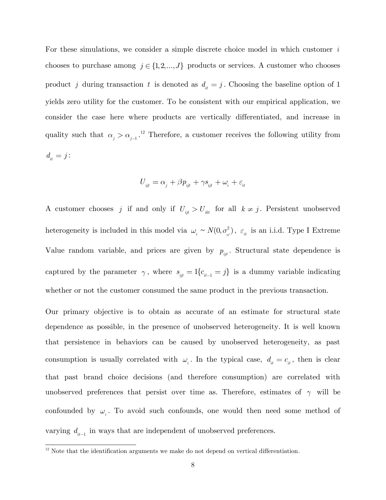For these simulations, we consider a simple discrete choice model in which customer *i* chooses to purchase among  $j \in \{1, 2, ..., J\}$  products or services. A customer who chooses product *j* during transaction *t* is denoted as  $d_{it} = j$ . Choosing the baseline option of 1 yields zero utility for the customer. To be consistent with our empirical application, we consider the case here where products are vertically differentiated, and increase in quality such that  $\alpha_j > \alpha_{j-1}$ .<sup>12</sup> Therefore, a customer receives the following utility from  $d_{\!} = j$  :

$$
U_{_{ijt}} = \alpha_{_j} + \beta p_{_{ijt}} + \gamma s_{_{ijt}} + \omega_{_i} + \varepsilon_{_{it}}
$$

A customer chooses *j* if and only if  $U_{iji} > U_{ikt}$  for all  $k \neq j$ . Persistent unobserved heterogeneity is included in this model via  $\omega_i \sim N(0, \sigma_{\omega}^2)$ ,  $\varepsilon_{it}$  is an i.i.d. Type I Extreme Value random variable, and prices are given by  $p_{ijt}$ . Structural state dependence is captured by the parameter  $\gamma$ , where  $s_{ijt} = 1$  $\{c_{it-1} = j\}$  is a dummy variable indicating whether or not the customer consumed the same product in the previous transaction.

Our primary objective is to obtain as accurate of an estimate for structural state dependence as possible, in the presence of unobserved heterogeneity. It is well known that persistence in behaviors can be caused by unobserved heterogeneity, as past consumption is usually correlated with  $\omega_i$ . In the typical case,  $d_i = c_i$ , then is clear that past brand choice decisions (and therefore consumption) are correlated with unobserved preferences that persist over time as. Therefore, estimates of  $\gamma$  will be confounded by  $\omega_i$ . To avoid such confounds, one would then need some method of varying  $d_{it-1}$  in ways that are independent of unobserved preferences.

 $\overline{\phantom{a}}$  $12$  Note that the identification arguments we make do not depend on vertical differentiation.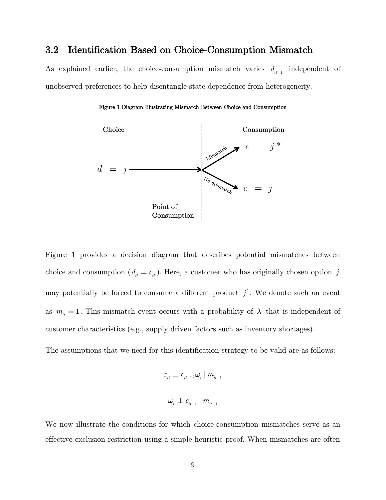#### 3.2 Identification Based on Choice-Consumption Mismatch

<span id="page-9-0"></span>As explained earlier, the choice-consumption mismatch varies  $d_{it-1}$  independent of unobserved preferences to help disentangle state dependence from heterogeneity.



#### Figure 1 Diagram Illustrating Mismatch Between Choice and Consumption

[Figure 1](#page-9-0) provides a decision diagram that describes potential mismatches between choice and consumption  $(d_{it} \neq c_{it})$ . Here, a customer who has originally chosen option j may potentially be forced to consume a different product  $j^*$ . We denote such an event as  $m$ <sub>it</sub> = 1. This mismatch event occurs with a probability of  $\lambda$  that is independent of customer characteristics (e.g., supply driven factors such as inventory shortages).

The assumptions that we need for this identification strategy to be valid are as follows:

$$
\begin{array}{l} \varepsilon_{_{it}} \perp c_{_{it-1}}, \omega_{_{i}} \mid m_{_{it-1}} \\\\ \omega_{_{i}} \perp c_{_{it-1}} \mid m_{_{it-1}} \end{array}
$$

We now illustrate the conditions for which choice-consumption mismatches serve as an effective exclusion restriction using a simple heuristic proof. When mismatches are often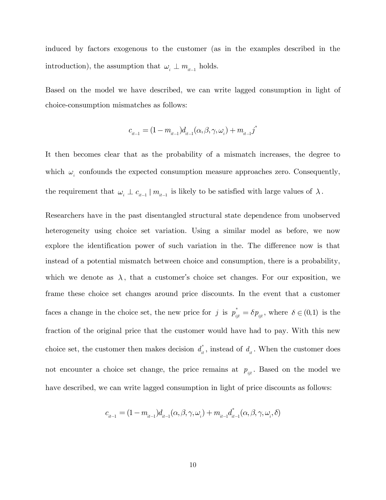induced by factors exogenous to the customer (as in the examples described in the introduction), the assumption that  $\omega_{_i} \perp m_{_{i\!t-1}}$  holds.

Based on the model we have described, we can write lagged consumption in light of choice-consumption mismatches as follows:

$$
c_{_{it-1}} = (1-m_{_{it-1}})d_{_{it-1}}(\alpha,\beta,\gamma,\omega_{_i}) + m_{_{it-1}} j^*
$$

It then becomes clear that as the probability of a mismatch increases, the degree to which  $\omega_i$  confounds the expected consumption measure approaches zero. Consequently, the requirement that  $\omega_i \perp c_{i-1} \mid m_{i-1}$  is likely to be satisfied with large values of  $\lambda$ .

Researchers have in the past disentangled structural state dependence from unobserved heterogeneity using choice set variation. Using a similar model as before, we now explore the identification power of such variation in the. The difference now is that instead of a potential mismatch between choice and consumption, there is a probability, which we denote as  $\lambda$ , that a customer's choice set changes. For our exposition, we frame these choice set changes around price discounts. In the event that a customer faces a change in the choice set, the new price for j is  $p_{ijt}^* = \delta p_{ijt}$ , where  $\delta \in (0,1)$  is the fraction of the original price that the customer would have had to pay. With this new choice set, the customer then makes decision  $d_{it}^*$ , instead of  $d_{it}$ . When the customer does not encounter a choice set change, the price remains at  $p_{ijt}$ . Based on the model we have described, we can write lagged consumption in light of price discounts as follows:

$$
c_{it-1} = (1 - m_{it-1})d_{it-1}(\alpha, \beta, \gamma, \omega_i) + m_{it-1}d_{it-1}^*(\alpha, \beta, \gamma, \omega_i, \delta)
$$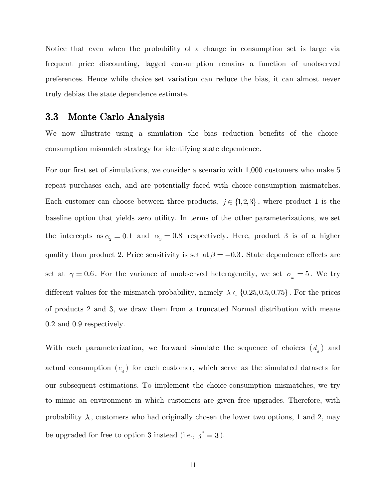Notice that even when the probability of a change in consumption set is large via frequent price discounting, lagged consumption remains a function of unobserved preferences. Hence while choice set variation can reduce the bias, it can almost never truly debias the state dependence estimate.

### 3.3 Monte Carlo Analysis

We now illustrate using a simulation the bias reduction benefits of the choiceconsumption mismatch strategy for identifying state dependence.

For our first set of simulations, we consider a scenario with 1,000 customers who make 5 repeat purchases each, and are potentially faced with choice-consumption mismatches. Each customer can choose between three products,  $j \in \{1,2,3\}$ , where product 1 is the baseline option that yields zero utility. In terms of the other parameterizations, we set the intercepts  $as \alpha_2 = 0.1$  and  $\alpha_3 = 0.8$  respectively. Here, product 3 is of a higher quality than product 2. Price sensitivity is set at  $\beta = -0.3$ . State dependence effects are set at  $\gamma = 0.6$ . For the variance of unobserved heterogeneity, we set  $\sigma_{\omega} = 5$ . We try different values for the mismatch probability, namely  $\lambda \in \{0.25, 0.5, 0.75\}$ . For the prices of products 2 and 3, we draw them from a truncated Normal distribution with means 0.2 and 0.9 respectively.

With each parameterization, we forward simulate the sequence of choices  $(d_{\mu})$  and actual consumption  $(c_{i}^{t})$  for each customer, which serve as the simulated datasets for our subsequent estimations. To implement the choice-consumption mismatches, we try to mimic an environment in which customers are given free upgrades. Therefore, with probability  $\lambda$ , customers who had originally chosen the lower two options, 1 and 2, may be upgraded for free to option 3 instead (i.e.,  $j^* = 3$ ).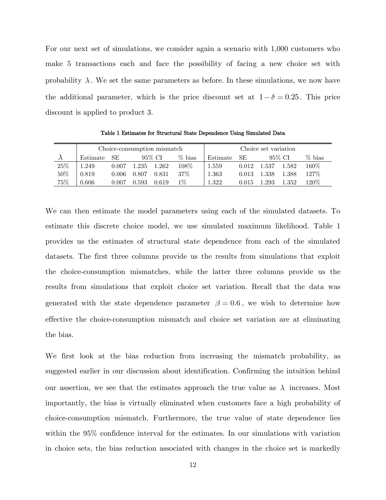For our next set of simulations, we consider again a scenario with 1,000 customers who make 5 transactions each and face the possibility of facing a new choice set with probability  $\lambda$ . We set the same parameters as before. In these simulations, we now have the additional parameter, which is the price discount set at  $1-\delta = 0.25$ . This price discount is applied to product 3.

<span id="page-12-0"></span>

|     | Choice-consumption mismatch |       |       |        |           | Choice set variation |       |           |        |          |
|-----|-----------------------------|-------|-------|--------|-----------|----------------------|-------|-----------|--------|----------|
|     | Estimate                    | -SE   |       | 95% CI | $\%$ bias | Estimate             | SE    |           | 95% CI | $%$ bias |
| 25% | 1.249                       | 0.007 | 1.235 | 1.262  | 108\%     | 1.559                | 0.012 | 1.537     | 1.582  | 160\%    |
| 50% | 0.819                       | 0.006 | 0.807 | 0.831  | $37\%$    | 1.363                | 0.013 | 1.338     | 1.388  | $127\%$  |
| 75% | 0.606                       | 0.007 | 0.593 | 0.619  | $1\%$     | 1.322                | 0.015 | $1.293\,$ | 1.352  | $120\%$  |

Table 1 Estimates for Structural State Dependence Using Simulated Data

We can then estimate the model parameters using each of the simulated datasets. To estimate this discrete choice model, we use simulated maximum likelihood. [Table 1](#page-12-0) provides us the estimates of structural state dependence from each of the simulated datasets. The first three columns provide us the results from simulations that exploit the choice-consumption mismatches, while the latter three columns provide us the results from simulations that exploit choice set variation. Recall that the data was generated with the state dependence parameter  $\beta = 0.6$ , we wish to determine how effective the choice-consumption mismatch and choice set variation are at eliminating the bias.

We first look at the bias reduction from increasing the mismatch probability, as suggested earlier in our discussion about identification. Confirming the intuition behind our assertion, we see that the estimates approach the true value as  $\lambda$  increases. Most importantly, the bias is virtually eliminated when customers face a high probability of choice-consumption mismatch. Furthermore, the true value of state dependence lies within the 95% confidence interval for the estimates. In our simulations with variation in choice sets, the bias reduction associated with changes in the choice set is markedly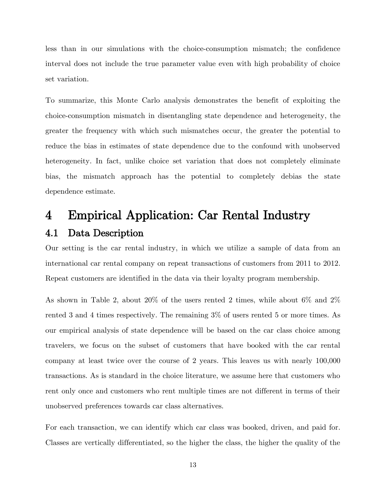less than in our simulations with the choice-consumption mismatch; the confidence interval does not include the true parameter value even with high probability of choice set variation.

To summarize, this Monte Carlo analysis demonstrates the benefit of exploiting the choice-consumption mismatch in disentangling state dependence and heterogeneity, the greater the frequency with which such mismatches occur, the greater the potential to reduce the bias in estimates of state dependence due to the confound with unobserved heterogeneity. In fact, unlike choice set variation that does not completely eliminate bias, the mismatch approach has the potential to completely debias the state dependence estimate.

# 4 Empirical Application: Car Rental Industry 4.1 Data Description

Our setting is the car rental industry, in which we utilize a sample of data from an international car rental company on repeat transactions of customers from 2011 to 2012. Repeat customers are identified in the data via their loyalty program membership.

As shown in [Table 2,](#page-14-0) about 20% of the users rented 2 times, while about 6% and 2% rented 3 and 4 times respectively. The remaining 3% of users rented 5 or more times. As our empirical analysis of state dependence will be based on the car class choice among travelers, we focus on the subset of customers that have booked with the car rental company at least twice over the course of 2 years. This leaves us with nearly 100,000 transactions. As is standard in the choice literature, we assume here that customers who rent only once and customers who rent multiple times are not different in terms of their unobserved preferences towards car class alternatives.

For each transaction, we can identify which car class was booked, driven, and paid for. Classes are vertically differentiated, so the higher the class, the higher the quality of the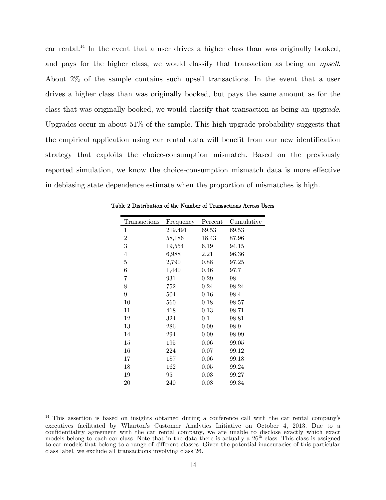car rental.<sup>14</sup> In the event that a user drives a higher class than was originally booked, and pays for the higher class, we would classify that transaction as being an upsell. About 2% of the sample contains such upsell transactions. In the event that a user drives a higher class than was originally booked, but pays the same amount as for the class that was originally booked, we would classify that transaction as being an upgrade. Upgrades occur in about 51% of the sample. This high upgrade probability suggests that the empirical application using car rental data will benefit from our new identification strategy that exploits the choice-consumption mismatch. Based on the previously reported simulation, we know the choice-consumption mismatch data is more effective in debiasing state dependence estimate when the proportion of mismatches is high.

| Transactions     | Frequency | Percent | Cumulative |
|------------------|-----------|---------|------------|
| 1                | 219,491   | 69.53   | 69.53      |
| $\boldsymbol{2}$ | 58,186    | 18.43   | 87.96      |
| 3                | 19,554    | 6.19    | 94.15      |
| 4                | 6,988     | 2.21    | 96.36      |
| 5                | 2,790     | 0.88    | 97.25      |
| 6                | 1,440     | 0.46    | 97.7       |
| 7                | 931       | 0.29    | 98         |
| 8                | 752       | 0.24    | 98.24      |
| 9                | 504       | 0.16    | 98.4       |
| 10               | 560       | 0.18    | 98.57      |
| 11               | 418       | 0.13    | 98.71      |
| 12               | 324       | 0.1     | 98.81      |
| 13               | 286       | 0.09    | 98.9       |
| 14               | 294       | 0.09    | 98.99      |
| 15               | 195       | 0.06    | 99.05      |
| 16               | 224       | 0.07    | 99.12      |
| 17               | 187       | 0.06    | 99.18      |
| 18               | 162       | 0.05    | 99.24      |
| 19               | 95        | 0.03    | 99.27      |
| 20               | 240       | 0.08    | 99.34      |

<span id="page-14-0"></span>Table 2 Distribution of the Number of Transactions Across Users

l

<sup>&</sup>lt;sup>14</sup> This assertion is based on insights obtained during a conference call with the car rental company's executives facilitated by Wharton's Customer Analytics Initiative on October 4, 2013. Due to a confidentiality agreement with the car rental company, we are unable to disclose exactly which exact models belong to each car class. Note that in the data there is actually a  $26<sup>th</sup>$  class. This class is assigned to car models that belong to a range of different classes. Given the potential inaccuracies of this particular class label, we exclude all transactions involving class 26.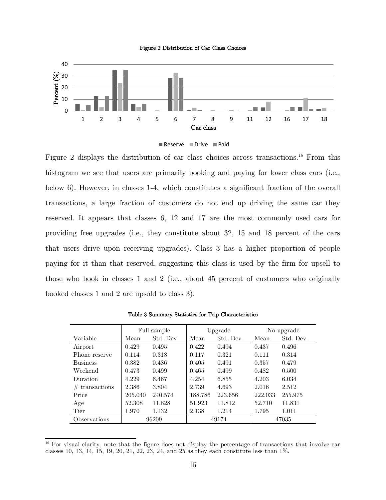

<span id="page-15-0"></span>



[Figure 2](#page-15-0) displays the distribution of car class choices across transactions.<sup>16</sup> From this histogram we see that users are primarily booking and paying for lower class cars (i.e., below 6). However, in classes 1-4, which constitutes a significant fraction of the overall transactions, a large fraction of customers do not end up driving the same car they reserved. It appears that classes 6, 12 and 17 are the most commonly used cars for providing free upgrades (i.e., they constitute about 32, 15 and 18 percent of the cars that users drive upon receiving upgrades). Class 3 has a higher proportion of people paying for it than that reserved, suggesting this class is used by the firm for upsell to those who book in classes 1 and 2 (i.e., about 45 percent of customers who originally booked classes 1 and 2 are upsold to class 3).

<span id="page-15-1"></span>

|                  | Full sample |           | Upgrade |           | No upgrade |           |
|------------------|-------------|-----------|---------|-----------|------------|-----------|
| Variable         | Mean        | Std. Dev. | Mean    | Std. Dev. | Mean       | Std. Dev. |
| Airport          | 0.429       | 0.495     | 0.422   | 0.494     | 0.437      | 0.496     |
| Phone reserve    | 0.114       | 0.318     | 0.117   | 0.321     | 0.111      | 0.314     |
| <b>Business</b>  | 0.382       | 0.486     | 0.405   | 0.491     | 0.357      | 0.479     |
| Weekend          | 0.473       | 0.499     | 0.465   | 0.499     | 0.482      | 0.500     |
| Duration         | 4.229       | 6.467     | 4.254   | 6.855     | 4.203      | 6.034     |
| $#$ transactions | 2.386       | 3.804     | 2.739   | 4.693     | 2.016      | 2.512     |
| Price            | 205.040     | 240.574   | 188.786 | 223.656   | 222.033    | 255.975   |
| Age              | 52.308      | 11.828    | 51.923  | 11.812    | 52.710     | 11.831    |
| Tier             | 1.970       | 1.132     | 2.138   | 1.214     | 1.795      | 1.011     |
| Observations     | 96209       |           | 49174   |           | 47035      |           |

Table 3 Summary Statistics for Trip Characteristics

 $\overline{\phantom{a}}$ 

<sup>&</sup>lt;sup>16</sup> For visual clarity, note that the figure does not display the percentage of transactions that involve car classes 10, 13, 14, 15, 19, 20, 21, 22, 23, 24, and 25 as they each constitute less than 1%.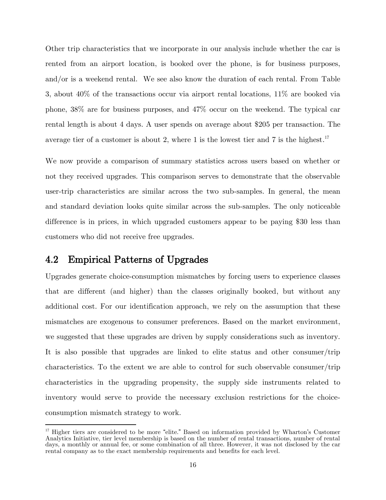Other trip characteristics that we incorporate in our analysis include whether the car is rented from an airport location, is booked over the phone, is for business purposes, and/or is a weekend rental. We see also know the duration of each rental. From [Table](#page-15-1)  [3,](#page-15-1) about 40% of the transactions occur via airport rental locations, 11% are booked via phone, 38% are for business purposes, and 47% occur on the weekend. The typical car rental length is about 4 days. A user spends on average about \$205 per transaction. The average tier of a customer is about 2, where 1 is the lowest tier and 7 is the highest.<sup>17</sup>

We now provide a comparison of summary statistics across users based on whether or not they received upgrades. This comparison serves to demonstrate that the observable user-trip characteristics are similar across the two sub-samples. In general, the mean and standard deviation looks quite similar across the sub-samples. The only noticeable difference is in prices, in which upgraded customers appear to be paying \$30 less than customers who did not receive free upgrades.

### 4.2 Empirical Patterns of Upgrades

 $\overline{\phantom{a}}$ 

Upgrades generate choice-consumption mismatches by forcing users to experience classes that are different (and higher) than the classes originally booked, but without any additional cost. For our identification approach, we rely on the assumption that these mismatches are exogenous to consumer preferences. Based on the market environment, we suggested that these upgrades are driven by supply considerations such as inventory. It is also possible that upgrades are linked to elite status and other consumer/trip characteristics. To the extent we are able to control for such observable consumer/trip characteristics in the upgrading propensity, the supply side instruments related to inventory would serve to provide the necessary exclusion restrictions for the choiceconsumption mismatch strategy to work.

<sup>&</sup>lt;sup>17</sup> Higher tiers are considered to be more "elite." Based on information provided by Wharton's Customer Analytics Initiative, tier level membership is based on the number of rental transactions, number of rental days, a monthly or annual fee, or some combination of all three. However, it was not disclosed by the car rental company as to the exact membership requirements and benefits for each level.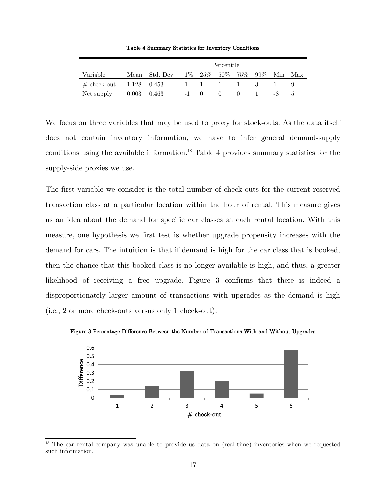Table 4 Summary Statistics for Inventory Conditions

<span id="page-17-0"></span>

|                                                  |               | Percentile    |        |  |              |                             |  |    |         |
|--------------------------------------------------|---------------|---------------|--------|--|--------------|-----------------------------|--|----|---------|
| Variable                                         |               | Mean Std. Dev |        |  |              | 1\% 25\% 50\% 75\% 99\% Min |  |    | Max     |
| $\# \text{ check-out} \qquad 1.128 \qquad 0.453$ |               |               |        |  |              | 1 1 1 1 3                   |  |    |         |
| Net supply                                       | $0.003$ 0.463 |               | $-1$ 0 |  | $\mathbf{U}$ | $\theta$                    |  | -8 | $\cdot$ |

We focus on three variables that may be used to proxy for stock-outs. As the data itself does not contain inventory information, we have to infer general demand-supply conditions using the available information.<sup>18</sup> [Table 4](#page-17-0) provides summary statistics for the supply-side proxies we use.

The first variable we consider is the total number of check-outs for the current reserved transaction class at a particular location within the hour of rental. This measure gives us an idea about the demand for specific car classes at each rental location. With this measure, one hypothesis we first test is whether upgrade propensity increases with the demand for cars. The intuition is that if demand is high for the car class that is booked, then the chance that this booked class is no longer available is high, and thus, a greater likelihood of receiving a free upgrade. [Figure 3](#page-17-1) confirms that there is indeed a disproportionately larger amount of transactions with upgrades as the demand is high (i.e., 2 or more check-outs versus only 1 check-out).



<span id="page-17-1"></span>Figure 3 Percentage Difference Between the Number of Transactions With and Without Upgrades

 $\overline{\phantom{a}}$ <sup>18</sup> The car rental company was unable to provide us data on (real-time) inventories when we requested such information.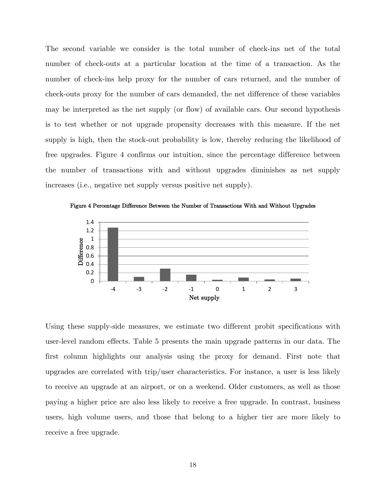The second variable we consider is the total number of check-ins net of the total number of check-outs at a particular location at the time of a transaction. As the number of check-ins help proxy for the number of cars returned, and the number of check-outs proxy for the number of cars demanded, the net difference of these variables may be interpreted as the net supply (or flow) of available cars. Our second hypothesis is to test whether or not upgrade propensity decreases with this measure. If the net supply is high, then the stock-out probability is low, thereby reducing the likelihood of free upgrades. [Figure 4](#page-18-0) confirms our intuition, since the percentage difference between the number of transactions with and without upgrades diminishes as net supply increases (i.e., negative net supply versus positive net supply).



<span id="page-18-0"></span>Figure 4 Percentage Difference Between the Number of Transactions With and Without Upgrades

Using these supply-side measures, we estimate two different probit specifications with user-level random effects. [Table 5](#page-19-0) presents the main upgrade patterns in our data. The first column highlights our analysis using the proxy for demand. First note that upgrades are correlated with trip/user characteristics. For instance, a user is less likely to receive an upgrade at an airport, or on a weekend. Older customers, as well as those paying a higher price are also less likely to receive a free upgrade. In contrast, business users, high volume users, and those that belong to a higher tier are more likely to receive a free upgrade.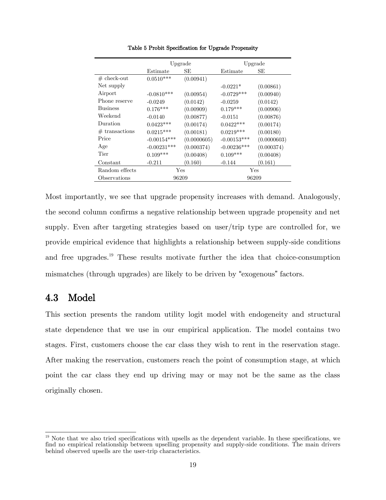<span id="page-19-0"></span>

|                  |               | Upgrade     |               | Upgrade     |  |
|------------------|---------------|-------------|---------------|-------------|--|
|                  | Estimate      | SЕ          | Estimate      | SЕ          |  |
| $#$ check-out    | $0.0510***$   | (0.00941)   |               |             |  |
| Net supply       |               |             | $-0.0221*$    | (0.00861)   |  |
| Airport          | $-0.0810***$  | (0.00954)   | $-0.0729***$  | (0.00940)   |  |
| Phone reserve    | $-0.0249$     | (0.0142)    | $-0.0259$     | (0.0142)    |  |
| <b>Business</b>  | $0.176***$    | (0.00909)   | $0.179***$    | (0.00906)   |  |
| Weekend          | $-0.0140$     | (0.00877)   | $-0.0151$     | (0.00876)   |  |
| Duration         | $0.0423***$   | (0.00174)   | $0.0422***$   | (0.00174)   |  |
| $#$ transactions | $0.0215***$   | (0.00181)   | $0.0219***$   | (0.00180)   |  |
| Price            | $-0.00154***$ | (0.0000605) | $-0.00153***$ | (0.0000603) |  |
| Age              | $-0.00231***$ | (0.000374)  | $-0.00236***$ | (0.000374)  |  |
| Tier             | $0.109***$    | (0.00408)   | $0.109***$    | (0.00408)   |  |
| Constant         | $-0.211$      | (0.160)     | $-0.144$      | (0.161)     |  |
| Random effects   | Yes           |             | Yes           |             |  |
| Observations     | 96209         |             | 96209         |             |  |
|                  |               |             |               |             |  |

Table 5 Probit Specification for Upgrade Propensity

Most importantly, we see that upgrade propensity increases with demand. Analogously, the second column confirms a negative relationship between upgrade propensity and net supply. Even after targeting strategies based on user/trip type are controlled for, we provide empirical evidence that highlights a relationship between supply-side conditions and free upgrades. <sup>19</sup> These results motivate further the idea that choice-consumption mismatches (through upgrades) are likely to be driven by "exogenous" factors.

### 4.3 Model

l

This section presents the random utility logit model with endogeneity and structural state dependence that we use in our empirical application. The model contains two stages. First, customers choose the car class they wish to rent in the reservation stage. After making the reservation, customers reach the point of consumption stage, at which point the car class they end up driving may or may not be the same as the class originally chosen.

<sup>&</sup>lt;sup>19</sup> Note that we also tried specifications with upsells as the dependent variable. In these specifications, we find no empirical relationship between upselling propensity and supply-side conditions. The main drivers behind observed upsells are the user-trip characteristics.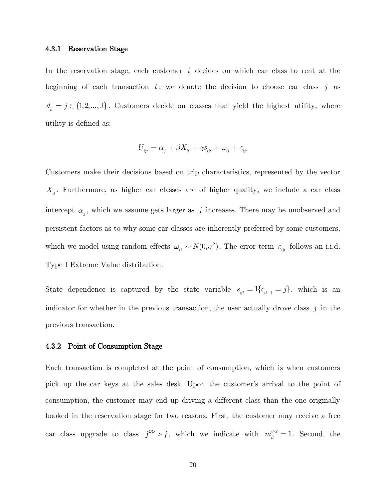#### 4.3.1 Reservation Stage

In the reservation stage, each customer *i* decides on which car class to rent at the beginning of each transaction  $t$ ; we denote the decision to choose car class  $j$  as  ${d}_{i} = j \in \{1,2,...,J\}$ . Customers decide on classes that yield the highest utility, where utility is defined as:

$$
U_{_{ijt}} = \alpha_{_j} + \beta X_{_{it}} + \gamma s_{_{ijt}} + \omega_{_{ij}} + \varepsilon_{_{ijt}}
$$

Customers make their decisions based on trip characteristics, represented by the vector  $X_{it}$ . Furthermore, as higher car classes are of higher quality, we include a car class intercept  $\alpha_j$ , which we assume gets larger as  $j$  increases. There may be unobserved and persistent factors as to why some car classes are inherently preferred by some customers, which we model using random effects  $\omega_{ij} \sim N(0, \sigma^2)$ . The error term  $\varepsilon_{ijt}$  follows an i.i.d. Type I Extreme Value distribution.

State dependence is captured by the state variable  $s_{ijt} = 1 \{ c_{it-1} = j \}$ , which is an indicator for whether in the previous transaction, the user actually drove class *j* in the previous transaction.

#### 4.3.2 Point of Consumption Stage

Each transaction is completed at the point of consumption, which is when customers pick up the car keys at the sales desk. Upon the customer's arrival to the point of consumption, the customer may end up driving a different class than the one originally booked in the reservation stage for two reasons. First, the customer may receive a free car class upgrade to class  $j^{UG} > j$ , which we indicate with  $m_{it}^{UG} = 1$ . Second, the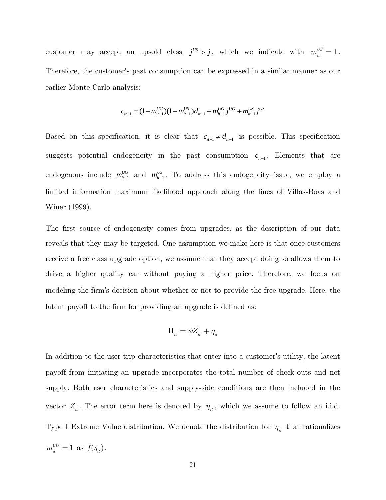customer may accept an upsold class  $j^{US} > j$ , which we indicate with  $m_{it}^{US} = 1$ . Therefore, the customer's past consumption can be expressed in a similar manner as our earlier Monte Carlo analysis:

$$
c_{i_{t-1}} = (1 - m_{i_{t-1}}^{UG})(1 - m_{i_{t-1}}^{US})d_{i_{t-1}} + m_{i_{t-1}}^{UG}j^{UG} + m_{i_{t-1}}^{US}j^{US}
$$

Based on this specification, it is clear that  $c_{i-1} \neq d_{i-1}$  is possible. This specification suggests potential endogeneity in the past consumption  $c_{i-1}$ . Elements that are endogenous include  $m_{it-1}^{UG}$  and  $m_{it-1}^{US}$ . To address this endogeneity issue, we employ a limited information maximum likelihood approach along the lines of Villas-Boas and Winer (1999).

The first source of endogeneity comes from upgrades, as the description of our data reveals that they may be targeted. One assumption we make here is that once customers receive a free class upgrade option, we assume that they accept doing so allows them to drive a higher quality car without paying a higher price. Therefore, we focus on modeling the firm's decision about whether or not to provide the free upgrade. Here, the latent payoff to the firm for providing an upgrade is defined as:

$$
\Pi_{_{it}} = \psi Z_{_{it}} + \eta_{_{it}}
$$

In addition to the user-trip characteristics that enter into a customer's utility, the latent payoff from initiating an upgrade incorporates the total number of check-outs and net supply. Both user characteristics and supply-side conditions are then included in the vector  $Z_{it}$ . The error term here is denoted by  $\eta_{it}$ , which we assume to follow an i.i.d. Type I Extreme Value distribution. We denote the distribution for  $\eta_{it}$  that rationalizes  $m_{it}^{UG} = 1$  as  $f(\eta_{it})$ .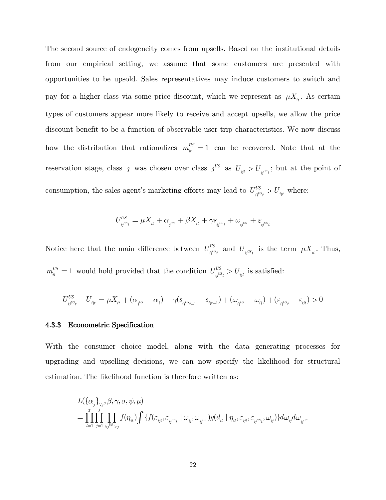The second source of endogeneity comes from upsells. Based on the institutional details from our empirical setting, we assume that some customers are presented with opportunities to be upsold. Sales representatives may induce customers to switch and pay for a higher class via some price discount, which we represent as  $\mu X_i$ . As certain types of customers appear more likely to receive and accept upsells, we allow the price discount benefit to be a function of observable user-trip characteristics. We now discuss how the distribution that rationalizes  $m_{it}^{US} = 1$  can be recovered. Note that at the reservation stage, class *j* was chosen over class  $j^{US}$  as  $U_{ijt} > U_{ij^{US}t}$ ; but at the point of consumption, the sales agent's marketing efforts may lead to  $U_{\text{obs}}^{US}$  $U_{ij}^{US} > U_{ijt}$  where:

$$
U_{ij^{US}t}^{US} = \mu X_{it} + \alpha_{j^{US}} + \beta X_{it} + \gamma s_{ij^{US}t} + \omega_{ij^{US}} + \varepsilon_{ij^{US}t}
$$

Notice here that the main difference between  $U_{\text{obs}}^{\text{US}}$  $U_{ij}^{US}$  and  $U_{ij}^{US}$  is the term  $\mu X_{it}$ . Thus,  $m_{it}^{US} = 1$  would hold provided that the condition  $U_{it}^{US}$ 

$$
=1 \text{ would hold provided that the condition } U_{ij^{US}t}^{US}>U_{ijt} \text{ is satisfied:}
$$
  

$$
U_{ij^{US}t}^{US}-U_{ijt}=\mu X_{it}+(\alpha_{j^{US}}-\alpha_j)+\gamma(s_{ij^{US}t-1}-s_{ijt-1})+(\omega_{ij^{US}}-\omega_{ij})+(\varepsilon_{ij^{US}t}-\varepsilon_{ijt})>0
$$

#### 4.3.3 Econometric Specification

With the consumer choice model, along with the data generating processes for upgrading and upselling decisions, we can now specify the likelihood for structural

estimation. The likelihood function is therefore written as:  
\n
$$
L(\{\alpha_j\}_{\forall j}, \beta, \gamma, \sigma, \psi, \mu)
$$
\n
$$
= \prod_{t=1}^T \prod_{j=1}^J \prod_{\forall j^{US}>j} f(\eta_{it}) \int \{f(\varepsilon_{ijt}, \varepsilon_{ij^{US}t} \mid \omega_{ij}, \omega_{ij^{US}}) g(d_{_{it}} \mid \eta_{_{it}}, \varepsilon_{ij^{US}t}, \omega_{_{ij}}) \} d\omega_{ij} d\omega_{ij^{US}}
$$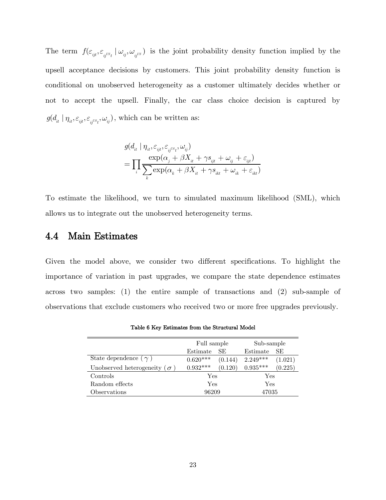The term  $f(\varepsilon_{ijt}, \varepsilon_{ij^{US_t}} | \omega_{ij}, \omega_{ij^{US}})$  is the joint probability density function implied by the upsell acceptance decisions by customers. This joint probability density function is conditional on unobserved heterogeneity as a customer ultimately decides whether or not to accept the upsell. Finally, the car class choice decision is captured by  $g(d_{it} | \eta_{it}, \varepsilon_{ijl}, \varepsilon_{ij}^{U_{st}}, \omega_{ij}),$  which can be written as:

$$
\begin{aligned} &g(d_{_{it}} \mid \eta_{_{it}}, \varepsilon_{_{ij} \nu s_t}, \omega_{_{ij}}) \\ &= \prod_i \frac{\exp(\alpha_{_j} + \beta X_{_{it}} + \gamma s_{_{ijt}} + \omega_{_{ij}} + \varepsilon_{_{ijt}})}{\sum_k \exp(\alpha_{_k} + \beta X_{_{it}} + \gamma s_{_{ikt}} + \omega_{_{ik}} + \varepsilon_{_{ikt}})} \end{aligned}
$$

To estimate the likelihood, we turn to simulated maximum likelihood (SML), which allows us to integrate out the unobserved heterogeneity terms.

#### 4.4 Main Estimates

Given the model above, we consider two different specifications. To highlight the importance of variation in past upgrades, we compare the state dependence estimates across two samples: (1) the entire sample of transactions and (2) sub-sample of observations that exclude customers who received two or more free upgrades previously.

<span id="page-23-0"></span>

|                                     | Full sample     |         | Sub-sample |         |
|-------------------------------------|-----------------|---------|------------|---------|
|                                     | SE.<br>Estimate |         | Estimate   | SE.     |
| State dependence ( $\gamma$ )       | $0.620***$      | (0.144) | $2.249***$ | (1.021) |
| Unobserved heterogeneity ( $\sigma$ | $0.932***$      | (0.120) | $0.935***$ | (0.225) |
| Controls                            | Yes             |         | Yes        |         |
| Random effects                      | Yes             |         | Yes        |         |
| Observations                        | 96209           |         | 47035      |         |

Table 6 Key Estimates from the Structural Model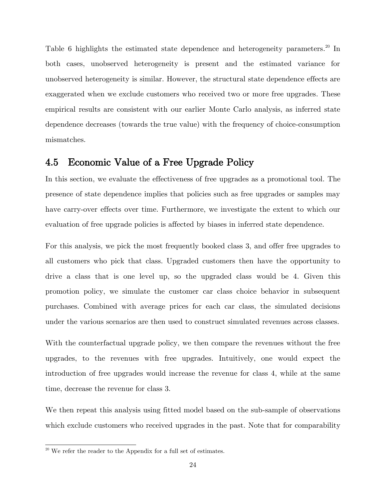[Table 6](#page-23-0) highlights the estimated state dependence and heterogeneity parameters.<sup>20</sup> In both cases, unobserved heterogeneity is present and the estimated variance for unobserved heterogeneity is similar. However, the structural state dependence effects are exaggerated when we exclude customers who received two or more free upgrades. These empirical results are consistent with our earlier Monte Carlo analysis, as inferred state dependence decreases (towards the true value) with the frequency of choice-consumption mismatches.

#### 4.5 Economic Value of a Free Upgrade Policy

In this section, we evaluate the effectiveness of free upgrades as a promotional tool. The presence of state dependence implies that policies such as free upgrades or samples may have carry-over effects over time. Furthermore, we investigate the extent to which our evaluation of free upgrade policies is affected by biases in inferred state dependence.

For this analysis, we pick the most frequently booked class 3, and offer free upgrades to all customers who pick that class. Upgraded customers then have the opportunity to drive a class that is one level up, so the upgraded class would be 4. Given this promotion policy, we simulate the customer car class choice behavior in subsequent purchases. Combined with average prices for each car class, the simulated decisions under the various scenarios are then used to construct simulated revenues across classes.

With the counterfactual upgrade policy, we then compare the revenues without the free upgrades, to the revenues with free upgrades. Intuitively, one would expect the introduction of free upgrades would increase the revenue for class 4, while at the same time, decrease the revenue for class 3.

We then repeat this analysis using fitted model based on the sub-sample of observations which exclude customers who received upgrades in the past. Note that for comparability

 $\overline{\phantom{a}}$  $20$  We refer the reader to the Appendix for a full set of estimates.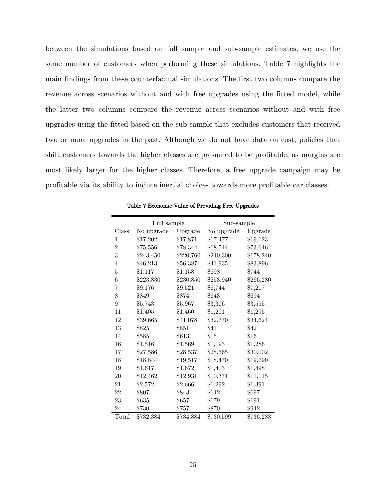between the simulations based on full sample and sub-sample estimates, we use the same number of customers when performing these simulations. [Table 7](#page-25-0) highlights the main findings from these counterfactual simulations. The first two columns compare the revenue across scenarios without and with free upgrades using the fitted model, while the latter two columns compare the revenue across scenarios without and with free upgrades using the fitted based on the sub-sample that excludes customers that received two or more upgrades in the past. Although we do not have data on cost, policies that shift customers towards the higher classes are presumed to be profitable, as margins are most likely larger for the higher classes. Therefore, a free upgrade campaign may be profitable via its ability to induce inertial choices towards more profitable car classes.

<span id="page-25-0"></span>

|                  | Full sample | Sub-sample |            |           |
|------------------|-------------|------------|------------|-----------|
| Class            | No upgrade  | Upgrade    | No upgrade | Upgrade   |
| 1                | \$17,202    | \$17,871   | \$17,477   | \$19,123  |
| $\overline{2}$   | \$75,556    | \$78,344   | \$68,544   | \$73,646  |
| 3                | \$243,450   | \$220,760  | \$240,300  | \$178,240 |
| $\overline{4}$   | \$46,213    | \$56,387   | \$41,935   | \$83,896  |
| 5                | \$1,117     | \$1,158    | \$698      | \$744     |
| 6                | \$223,830   | \$230,850  | \$253,940  | \$266,280 |
| 7                | \$9,176     | \$9,521    | \$6,744    | \$7,217   |
| 8                | \$849       | \$874      | \$643      | \$694     |
| $\boldsymbol{9}$ | \$5,743     | \$5,967    | \$3,306    | $\$3,555$ |
| 11               | \$1,405     | \$1,460    | \$1,201    | \$1,295   |
| 12               | \$39,665    | \$41,078   | \$32,770   | \$34,624  |
| 13               | \$825       | \$851      | $\$41$     | \$42      |
| 14               | \$585       | $\$613$    | \$15       | \$16      |
| 16               | \$1,516     | \$1,569    | \$1,193    | \$1,286   |
| 17               | \$27,586    | \$28,537   | \$28,565   | \$30,002  |
| 18               | \$18,844    | \$19,517   | \$18,470   | \$19,790  |
| 19               | \$1,617     | \$1,672    | \$1,403    | \$1,498   |
| 20               | \$12,462    | \$12,931   | \$10,371   | \$11,115  |
| 21               | \$2,572     | \$2,666    | \$1,292    | \$1,391   |
| 22               | \$807       | \$843      | \$642      | \$697     |
| 23               | \$635       | \$657      | \$179      | \$191     |
| 24               | \$730       | \$757      | \$870      | \$942     |
| Total            | \$732,384   | \$734,884  | \$730,599  | \$736,283 |

Table 7 Economic Value of Providing Free Upgrades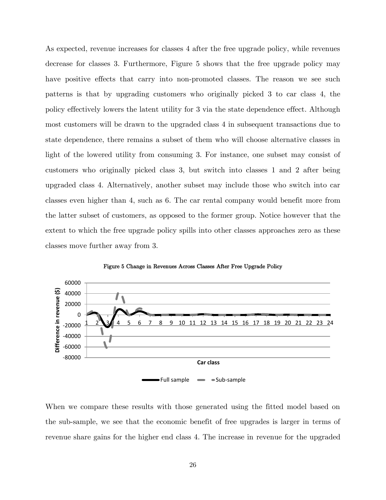As expected, revenue increases for classes 4 after the free upgrade policy, while revenues decrease for classes 3. Furthermore, [Figure 5](#page-26-0) shows that the free upgrade policy may have positive effects that carry into non-promoted classes. The reason we see such patterns is that by upgrading customers who originally picked 3 to car class 4, the policy effectively lowers the latent utility for 3 via the state dependence effect. Although most customers will be drawn to the upgraded class 4 in subsequent transactions due to state dependence, there remains a subset of them who will choose alternative classes in light of the lowered utility from consuming 3. For instance, one subset may consist of customers who originally picked class 3, but switch into classes 1 and 2 after being upgraded class 4. Alternatively, another subset may include those who switch into car classes even higher than 4, such as 6. The car rental company would benefit more from the latter subset of customers, as opposed to the former group. Notice however that the extent to which the free upgrade policy spills into other classes approaches zero as these classes move further away from 3.

<span id="page-26-0"></span>



When we compare these results with those generated using the fitted model based on the sub-sample, we see that the economic benefit of free upgrades is larger in terms of revenue share gains for the higher end class 4. The increase in revenue for the upgraded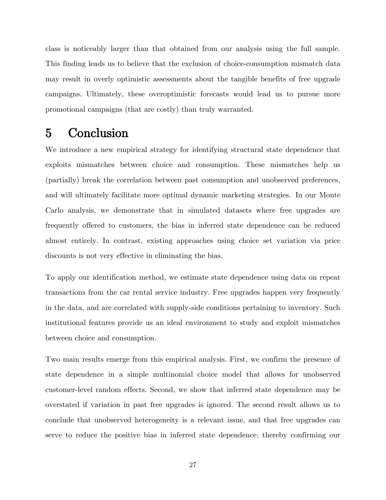class is noticeably larger than that obtained from our analysis using the full sample. This finding leads us to believe that the exclusion of choice-consumption mismatch data may result in overly optimistic assessments about the tangible benefits of free upgrade campaigns. Ultimately, these overoptimistic forecasts would lead us to pursue more promotional campaigns (that are costly) than truly warranted.

## 5 Conclusion

We introduce a new empirical strategy for identifying structural state dependence that exploits mismatches between choice and consumption. These mismatches help us (partially) break the correlation between past consumption and unobserved preferences, and will ultimately facilitate more optimal dynamic marketing strategies. In our Monte Carlo analysis, we demonstrate that in simulated datasets where free upgrades are frequently offered to customers, the bias in inferred state dependence can be reduced almost entirely. In contrast, existing approaches using choice set variation via price discounts is not very effective in eliminating the bias.

To apply our identification method, we estimate state dependence using data on repeat transactions from the car rental service industry. Free upgrades happen very frequently in the data, and are correlated with supply-side conditions pertaining to inventory. Such institutional features provide us an ideal environment to study and exploit mismatches between choice and consumption.

Two main results emerge from this empirical analysis. First, we confirm the presence of state dependence in a simple multinomial choice model that allows for unobserved customer-level random effects. Second, we show that inferred state dependence may be overstated if variation in past free upgrades is ignored. The second result allows us to conclude that unobserved heterogeneity is a relevant issue, and that free upgrades can serve to reduce the positive bias in inferred state dependence; thereby confirming our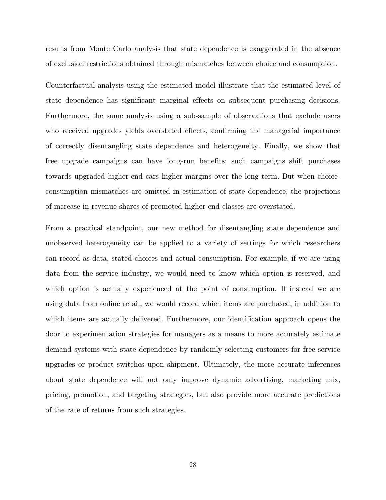results from Monte Carlo analysis that state dependence is exaggerated in the absence of exclusion restrictions obtained through mismatches between choice and consumption.

Counterfactual analysis using the estimated model illustrate that the estimated level of state dependence has significant marginal effects on subsequent purchasing decisions. Furthermore, the same analysis using a sub-sample of observations that exclude users who received upgrades yields overstated effects, confirming the managerial importance of correctly disentangling state dependence and heterogeneity. Finally, we show that free upgrade campaigns can have long-run benefits; such campaigns shift purchases towards upgraded higher-end cars higher margins over the long term. But when choiceconsumption mismatches are omitted in estimation of state dependence, the projections of increase in revenue shares of promoted higher-end classes are overstated.

From a practical standpoint, our new method for disentangling state dependence and unobserved heterogeneity can be applied to a variety of settings for which researchers can record as data, stated choices and actual consumption. For example, if we are using data from the service industry, we would need to know which option is reserved, and which option is actually experienced at the point of consumption. If instead we are using data from online retail, we would record which items are purchased, in addition to which items are actually delivered. Furthermore, our identification approach opens the door to experimentation strategies for managers as a means to more accurately estimate demand systems with state dependence by randomly selecting customers for free service upgrades or product switches upon shipment. Ultimately, the more accurate inferences about state dependence will not only improve dynamic advertising, marketing mix, pricing, promotion, and targeting strategies, but also provide more accurate predictions of the rate of returns from such strategies.

28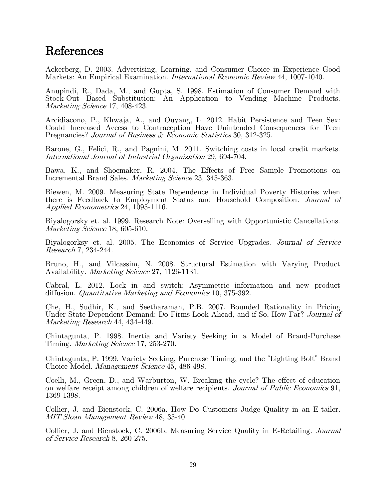## References

Ackerberg, D. 2003. Advertising, Learning, and Consumer Choice in Experience Good Markets: An Empirical Examination. International Economic Review 44, 1007-1040.

Anupindi, R., Dada, M., and Gupta, S. 1998. Estimation of Consumer Demand with Stock-Out Based Substitution: An Application to Vending Machine Products. Marketing Science 17, 408-423.

Arcidiacono, P., Khwaja, A., and Ouyang, L. 2012. Habit Persistence and Teen Sex: Could Increased Access to Contraception Have Unintended Consequences for Teen Pregnancies? Journal of Business & Economic Statistics 30, 312-325.

Barone, G., Felici, R., and Pagnini, M. 2011. Switching costs in local credit markets. International Journal of Industrial Organization 29, 694-704.

Bawa, K., and Shoemaker, R. 2004. The Effects of Free Sample Promotions on Incremental Brand Sales. *Marketing Science* 23, 345-363.

Biewen, M. 2009. Measuring State Dependence in Individual Poverty Histories when there is Feedback to Employment Status and Household Composition. Journal of Applied Econometrics 24, 1095-1116.

Biyalogorsky et. al. 1999. Research Note: Overselling with Opportunistic Cancellations. Marketing Science 18, 605-610.

Biyalogorksy et. al. 2005. The Economics of Service Upgrades. Journal of Service Research 7, 234-244.

Bruno, H., and Vilcassim, N. 2008. Structural Estimation with Varying Product Availability. Marketing Science 27, 1126-1131.

Cabral, L. 2012. Lock in and switch: Asymmetric information and new product diffusion. Quantitative Marketing and Economics 10, 375-392.

Che, H., Sudhir, K., and Seetharaman, P.B. 2007. Bounded Rationality in Pricing Under State-Dependent Demand: Do Firms Look Ahead, and if So, How Far? Journal of Marketing Research 44, 434-449.

Chintagunta, P. 1998. Inertia and Variety Seeking in a Model of Brand-Purchase Timing. Marketing Science 17, 253-270.

Chintagunta, P. 1999. Variety Seeking, Purchase Timing, and the "Lighting Bolt" Brand Choice Model. Management Science 45, 486-498.

Coelli, M., Green, D., and Warburton, W. Breaking the cycle? The effect of education on welfare receipt among children of welfare recipients. Journal of Public Economics 91, 1369-1398.

Collier, J. and Bienstock, C. 2006a. How Do Customers Judge Quality in an E-tailer. MIT Sloan Management Review 48, 35-40.

Collier, J. and Bienstock, C. 2006b. Measuring Service Quality in E-Retailing. Journal of Service Research 8, 260-275.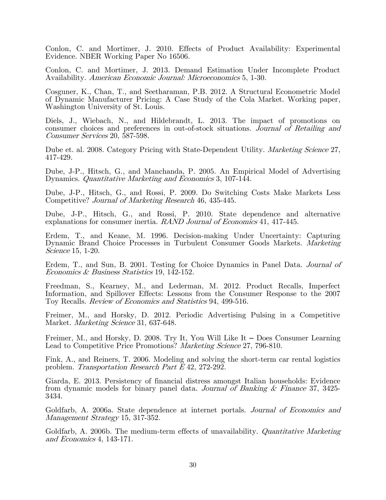Conlon, C. and Mortimer, J. 2010. Effects of Product Availability: Experimental Evidence. NBER Working Paper No 16506.

Conlon, C. and Mortimer, J. 2013. Demand Estimation Under Incomplete Product Availability. American Economic Journal: Microeconomics 5, 1-30.

Cosguner, K., Chan, T., and Seetharaman, P.B. 2012. A Structural Econometric Model of Dynamic Manufacturer Pricing: A Case Study of the Cola Market. Working paper, Washington University of St. Louis.

Diels, J., Wiebach, N., and Hildebrandt, L. 2013. The impact of promotions on consumer choices and preferences in out-of-stock situations. Journal of Retailing and Consumer Services 20, 587-598.

Dube et. al. 2008. Category Pricing with State-Dependent Utility. *Marketing Science* 27, 417-429.

Dube, J-P., Hitsch, G., and Manchanda, P. 2005. An Empirical Model of Advertising Dynamics. Quantitative Marketing and Economics 3, 107-144.

Dube, J-P., Hitsch, G., and Rossi, P. 2009. Do Switching Costs Make Markets Less Competitive? Journal of Marketing Research 46, 435-445.

Dube, J-P., Hitsch, G., and Rossi, P. 2010. State dependence and alternative explanations for consumer inertia. RAND Journal of Economics 41, 417-445.

Erdem, T., and Keane, M. 1996. Decision-making Under Uncertainty: Capturing Dynamic Brand Choice Processes in Turbulent Consumer Goods Markets. Marketing Science 15, 1-20.

Erdem, T., and Sun, B. 2001. Testing for Choice Dynamics in Panel Data. *Journal of* Economics & Business Statistics 19, 142-152.

Freedman, S., Kearney, M., and Lederman, M. 2012. Product Recalls, Imperfect Information, and Spillover Effects: Lessons from the Consumer Response to the 2007 Toy Recalls. Review of Economics and Statistics 94, 499-516.

Freimer, M., and Horsky, D. 2012. Periodic Advertising Pulsing in a Competitive Market. *Marketing Science* 31, 637-648.

Freimer, M., and Horsky, D. 2008. Try It, You Will Like It – Does Consumer Learning Lead to Competitive Price Promotions? Marketing Science 27, 796-810.

Fink, A., and Reiners, T. 2006. Modeling and solving the short-term car rental logistics problem. Transportation Research Part E 42, 272-292.

Giarda, E. 2013. Persistency of financial distress amongst Italian households: Evidence from dynamic models for binary panel data. Journal of Banking & Finance 37, 3425- 3434.

Goldfarb, A. 2006a. State dependence at internet portals. Journal of Economics and Management Strategy 15, 317-352.

Goldfarb, A. 2006b. The medium-term effects of unavailability. *Quantitative Marketing* and Economics 4, 143-171.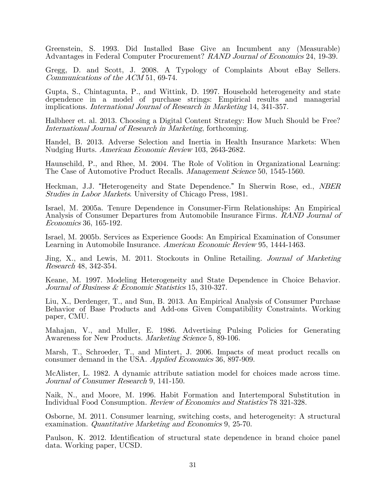Greenstein, S. 1993. Did Installed Base Give an Incumbent any (Measurable) Advantages in Federal Computer Procurement? RAND Journal of Economics 24, 19-39.

Gregg, D. and Scott, J. 2008. A Typology of Complaints About eBay Sellers. Communications of the ACM 51, 69-74.

Gupta, S., Chintagunta, P., and Wittink, D. 1997. Household heterogeneity and state dependence in a model of purchase strings: Empirical results and managerial implications. International Journal of Research in Marketing 14, 341-357.

Halbheer et. al. 2013. Choosing a Digital Content Strategy: How Much Should be Free? International Journal of Research in Marketing, forthcoming.

Handel, B. 2013. Adverse Selection and Inertia in Health Insurance Markets: When Nudging Hurts. American Economic Review 103, 2643-2682.

Haunschild, P., and Rhee, M. 2004. The Role of Volition in Organizational Learning: The Case of Automotive Product Recalls. Management Science 50, 1545-1560.

Heckman, J.J. "Heterogeneity and State Dependence." In Sherwin Rose, ed., NBER Studies in Labor Markets. University of Chicago Press, 1981.

Israel, M. 2005a. Tenure Dependence in Consumer-Firm Relationships: An Empirical Analysis of Consumer Departures from Automobile Insurance Firms. RAND Journal of Economics 36, 165-192.

Israel, M. 2005b. Services as Experience Goods: An Empirical Examination of Consumer Learning in Automobile Insurance. American Economic Review 95, 1444-1463.

Jing, X., and Lewis, M. 2011. Stockouts in Online Retailing. Journal of Marketing Research 48, 342-354.

Keane, M. 1997. Modeling Heterogeneity and State Dependence in Choice Behavior. Journal of Business & Economic Statistics 15, 310-327.

Liu, X., Derdenger, T., and Sun, B. 2013. An Empirical Analysis of Consumer Purchase Behavior of Base Products and Add-ons Given Compatibility Constraints. Working paper, CMU.

Mahajan, V., and Muller, E. 1986. Advertising Pulsing Policies for Generating Awareness for New Products. Marketing Science 5, 89-106.

Marsh, T., Schroeder, T., and Mintert, J. 2006. Impacts of meat product recalls on consumer demand in the USA. Applied Economics 36, 897-909.

McAlister, L. 1982. A dynamic attribute satiation model for choices made across time. Journal of Consumer Research 9, 141-150.

Naik, N., and Moore, M. 1996. Habit Formation and Intertemporal Substitution in Individual Food Consumption. Review of Economics and Statistics 78 321-328.

Osborne, M. 2011. Consumer learning, switching costs, and heterogeneity: A structural examination. Quantitative Marketing and Economics 9, 25-70.

Paulson, K. 2012. Identification of structural state dependence in brand choice panel data. Working paper, UCSD.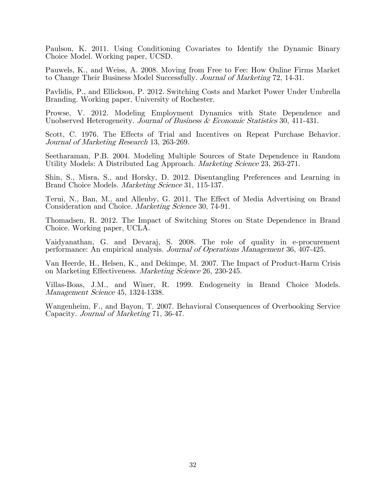Paulson, K. 2011. Using Conditioning Covariates to Identify the Dynamic Binary Choice Model. Working paper, UCSD.

Pauwels, K., and Weiss, A. 2008. Moving from Free to Fee: How Online Firms Market to Change Their Business Model Successfully. Journal of Marketing 72, 14-31.

Pavlidis, P., and Ellickson, P. 2012. Switching Costs and Market Power Under Umbrella Branding. Working paper, University of Rochester.

Prowse, V. 2012. Modeling Employment Dynamics with State Dependence and Unobserved Heterogeneity. Journal of Business & Economic Statistics 30, 411-431.

Scott, C. 1976. The Effects of Trial and Incentives on Repeat Purchase Behavior. Journal of Marketing Research 13, 263-269.

Seetharaman, P.B. 2004. Modeling Multiple Sources of State Dependence in Random Utility Models: A Distributed Lag Approach. Marketing Science 23, 263-271.

Shin, S., Misra, S., and Horsky, D. 2012. Disentangling Preferences and Learning in Brand Choice Models. *Marketing Science* 31, 115-137.

Terui, N., Ban, M., and Allenby, G. 2011. The Effect of Media Advertising on Brand Consideration and Choice. Marketing Science 30, 74-91.

Thomadsen, R. 2012. The Impact of Switching Stores on State Dependence in Brand Choice. Working paper, UCLA.

Vaidyanathan, G. and Devaraj, S. 2008. The role of quality in e-procurement performance: An empirical analysis. Journal of Operations Management 36, 407-425.

Van Heerde, H., Helsen, K., and Dekimpe, M. 2007. The Impact of Product-Harm Crisis on Marketing Effectiveness. Marketing Science 26, 230-245.

Villas-Boas, J.M., and Winer, R. 1999. Endogeneity in Brand Choice Models. Management Science 45, 1324-1338.

Wangenheim, F., and Bayon, T. 2007. Behavioral Consequences of Overbooking Service Capacity. Journal of Marketing 71, 36-47.